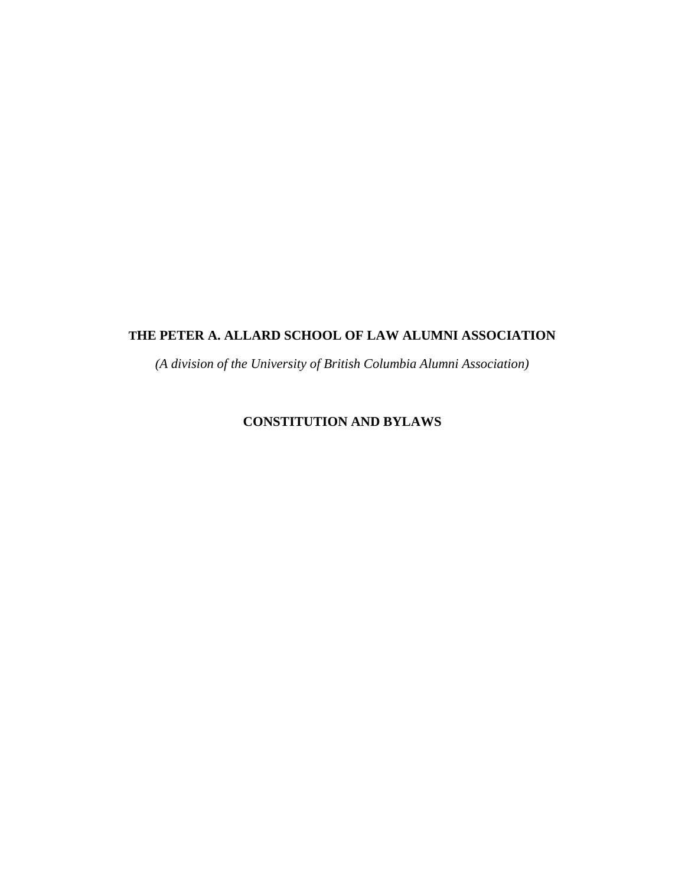## **THE PETER A. ALLARD SCHOOL OF LAW ALUMNI ASSOCIATION**

*(A division of the University of British Columbia Alumni Association)*

# **CONSTITUTION AND BYLAWS**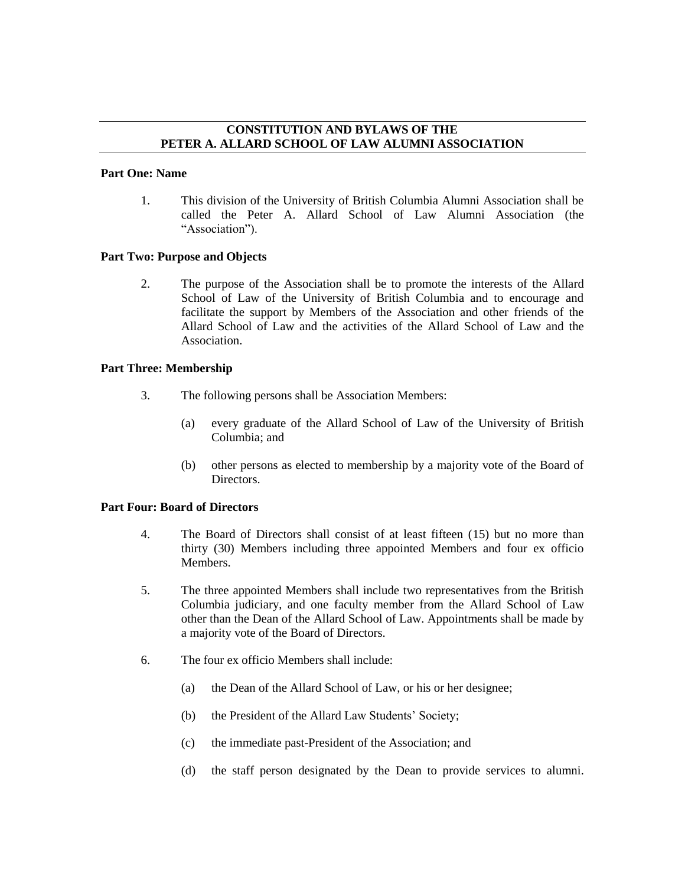## **CONSTITUTION AND BYLAWS OF THE PETER A. ALLARD SCHOOL OF LAW ALUMNI ASSOCIATION**

#### **Part One: Name**

1. This division of the University of British Columbia Alumni Association shall be called the Peter A. Allard School of Law Alumni Association (the "Association").

## **Part Two: Purpose and Objects**

2. The purpose of the Association shall be to promote the interests of the Allard School of Law of the University of British Columbia and to encourage and facilitate the support by Members of the Association and other friends of the Allard School of Law and the activities of the Allard School of Law and the Association.

## **Part Three: Membership**

- 3. The following persons shall be Association Members:
	- (a) every graduate of the Allard School of Law of the University of British Columbia; and
	- (b) other persons as elected to membership by a majority vote of the Board of Directors.

## **Part Four: Board of Directors**

- 4. The Board of Directors shall consist of at least fifteen (15) but no more than thirty (30) Members including three appointed Members and four ex officio Members.
- 5. The three appointed Members shall include two representatives from the British Columbia judiciary, and one faculty member from the Allard School of Law other than the Dean of the Allard School of Law. Appointments shall be made by a majority vote of the Board of Directors.
- 6. The four ex officio Members shall include:
	- (a) the Dean of the Allard School of Law, or his or her designee;
	- (b) the President of the Allard Law Students' Society;
	- (c) the immediate past-President of the Association; and
	- (d) the staff person designated by the Dean to provide services to alumni.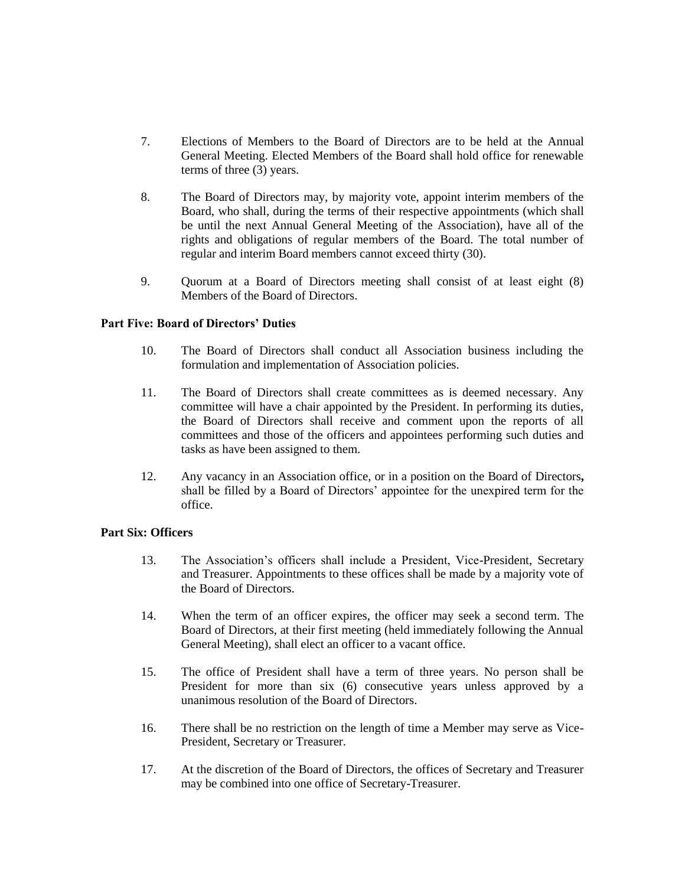- 7. Elections of Members to the Board of Directors are to be held at the Annual General Meeting. Elected Members of the Board shall hold office for renewable terms of three (3) years.
- 8. The Board of Directors may, by majority vote, appoint interim members of the Board, who shall, during the terms of their respective appointments (which shall be until the next Annual General Meeting of the Association), have all of the rights and obligations of regular members of the Board. The total number of regular and interim Board members cannot exceed thirty (30).
- 9. Quorum at a Board of Directors meeting shall consist of at least eight (8) Members of the Board of Directors.

### **Part Five: Board of Directors' Duties**

- 10. The Board of Directors shall conduct all Association business including the formulation and implementation of Association policies.
- 11. The Board of Directors shall create committees as is deemed necessary. Any committee will have a chair appointed by the President. In performing its duties, the Board of Directors shall receive and comment upon the reports of all committees and those of the officers and appointees performing such duties and tasks as have been assigned to them.
- 12. Any vacancy in an Association office, or in a position on the Board of Directors**,** shall be filled by a Board of Directors' appointee for the unexpired term for the office.

### **Part Six: Officers**

- 13. The Association's officers shall include a President, Vice-President, Secretary and Treasurer. Appointments to these offices shall be made by a majority vote of the Board of Directors.
- 14. When the term of an officer expires, the officer may seek a second term. The Board of Directors, at their first meeting (held immediately following the Annual General Meeting), shall elect an officer to a vacant office.
- 15. The office of President shall have a term of three years. No person shall be President for more than six (6) consecutive years unless approved by a unanimous resolution of the Board of Directors.
- 16. There shall be no restriction on the length of time a Member may serve as Vice-President, Secretary or Treasurer.
- 17. At the discretion of the Board of Directors, the offices of Secretary and Treasurer may be combined into one office of Secretary-Treasurer.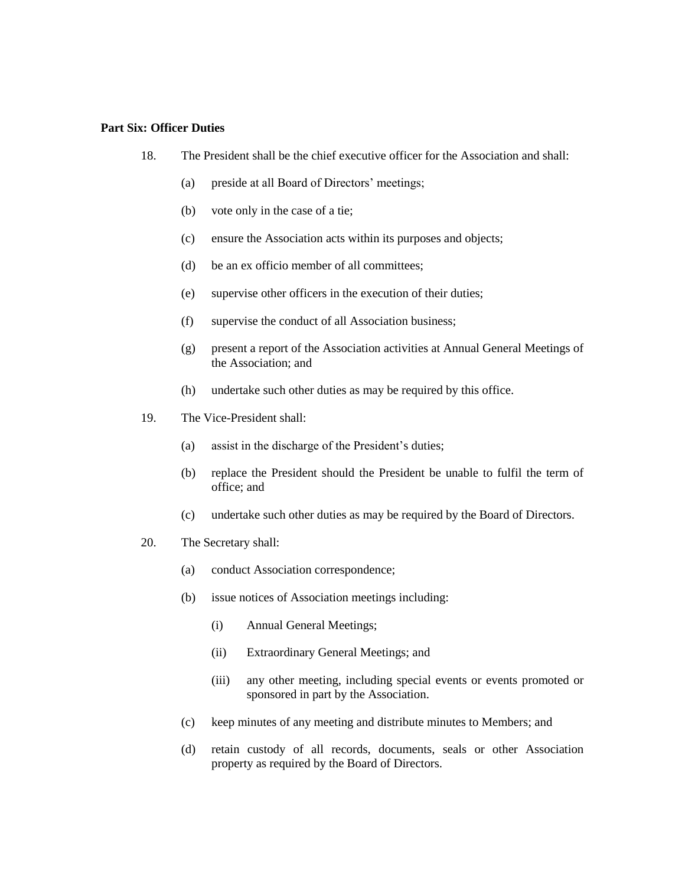### **Part Six: Officer Duties**

- 18. The President shall be the chief executive officer for the Association and shall:
	- (a) preside at all Board of Directors' meetings;
	- (b) vote only in the case of a tie;
	- (c) ensure the Association acts within its purposes and objects;
	- (d) be an ex officio member of all committees;
	- (e) supervise other officers in the execution of their duties;
	- (f) supervise the conduct of all Association business;
	- (g) present a report of the Association activities at Annual General Meetings of the Association; and
	- (h) undertake such other duties as may be required by this office.
- 19. The Vice-President shall:
	- (a) assist in the discharge of the President's duties;
	- (b) replace the President should the President be unable to fulfil the term of office; and
	- (c) undertake such other duties as may be required by the Board of Directors.
- 20. The Secretary shall:
	- (a) conduct Association correspondence;
	- (b) issue notices of Association meetings including:
		- (i) Annual General Meetings;
		- (ii) Extraordinary General Meetings; and
		- (iii) any other meeting, including special events or events promoted or sponsored in part by the Association.
	- (c) keep minutes of any meeting and distribute minutes to Members; and
	- (d) retain custody of all records, documents, seals or other Association property as required by the Board of Directors.